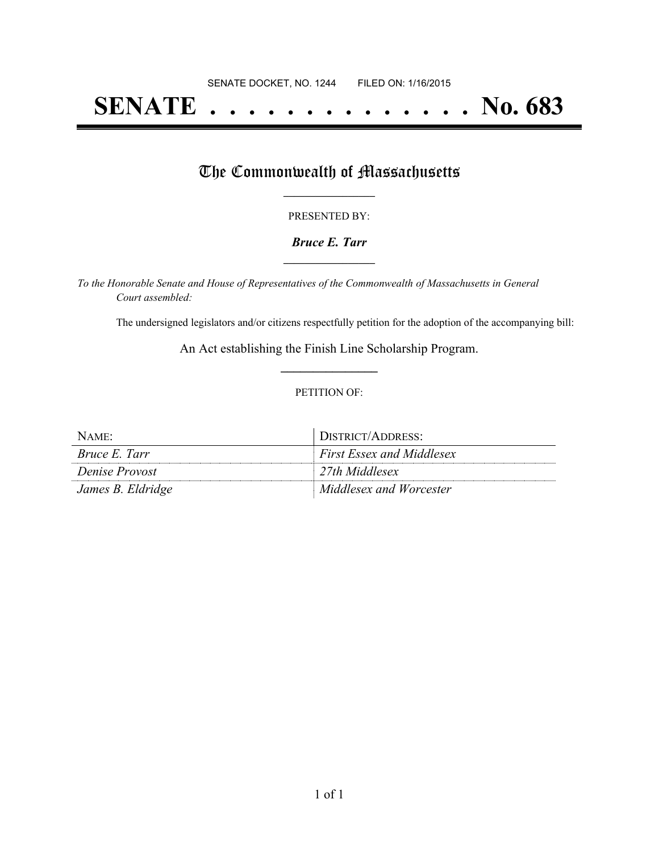## **SENATE . . . . . . . . . . . . . . No. 683**

### The Commonwealth of Massachusetts

#### PRESENTED BY:

#### *Bruce E. Tarr* **\_\_\_\_\_\_\_\_\_\_\_\_\_\_\_\_\_**

*To the Honorable Senate and House of Representatives of the Commonwealth of Massachusetts in General Court assembled:*

The undersigned legislators and/or citizens respectfully petition for the adoption of the accompanying bill:

An Act establishing the Finish Line Scholarship Program. **\_\_\_\_\_\_\_\_\_\_\_\_\_\_\_**

#### PETITION OF:

| NAME:                 | DISTRICT/ADDRESS:                |
|-----------------------|----------------------------------|
| <i>Bruce E. Tarr</i>  | <b>First Essex and Middlesex</b> |
| <i>Denise Provost</i> | 27th Middlesex                   |
| James B. Eldridge     | Middlesex and Worcester          |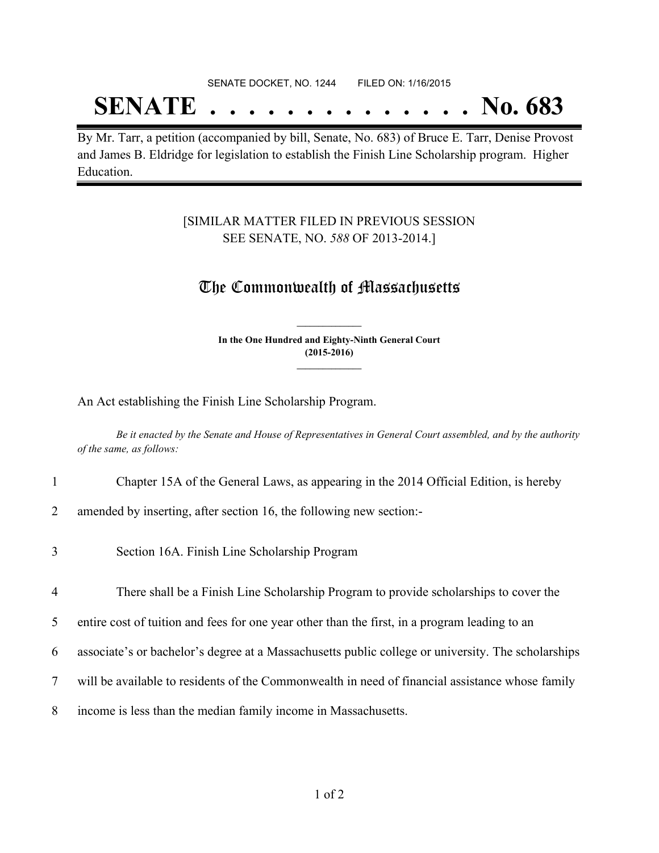## SENATE DOCKET, NO. 1244 FILED ON: 1/16/2015

# **SENATE . . . . . . . . . . . . . . No. 683**

By Mr. Tarr, a petition (accompanied by bill, Senate, No. 683) of Bruce E. Tarr, Denise Provost and James B. Eldridge for legislation to establish the Finish Line Scholarship program. Higher Education.

#### [SIMILAR MATTER FILED IN PREVIOUS SESSION SEE SENATE, NO. *588* OF 2013-2014.]

### The Commonwealth of Massachusetts

**In the One Hundred and Eighty-Ninth General Court (2015-2016) \_\_\_\_\_\_\_\_\_\_\_\_\_\_\_**

**\_\_\_\_\_\_\_\_\_\_\_\_\_\_\_**

An Act establishing the Finish Line Scholarship Program.

Be it enacted by the Senate and House of Representatives in General Court assembled, and by the authority *of the same, as follows:*

- 1 Chapter 15A of the General Laws, as appearing in the 2014 Official Edition, is hereby
- 2 amended by inserting, after section 16, the following new section:-
- 3 Section 16A. Finish Line Scholarship Program
- 4 There shall be a Finish Line Scholarship Program to provide scholarships to cover the
- 5 entire cost of tuition and fees for one year other than the first, in a program leading to an
- 6 associate's or bachelor's degree at a Massachusetts public college or university. The scholarships
- 7 will be available to residents of the Commonwealth in need of financial assistance whose family
- 8 income is less than the median family income in Massachusetts.